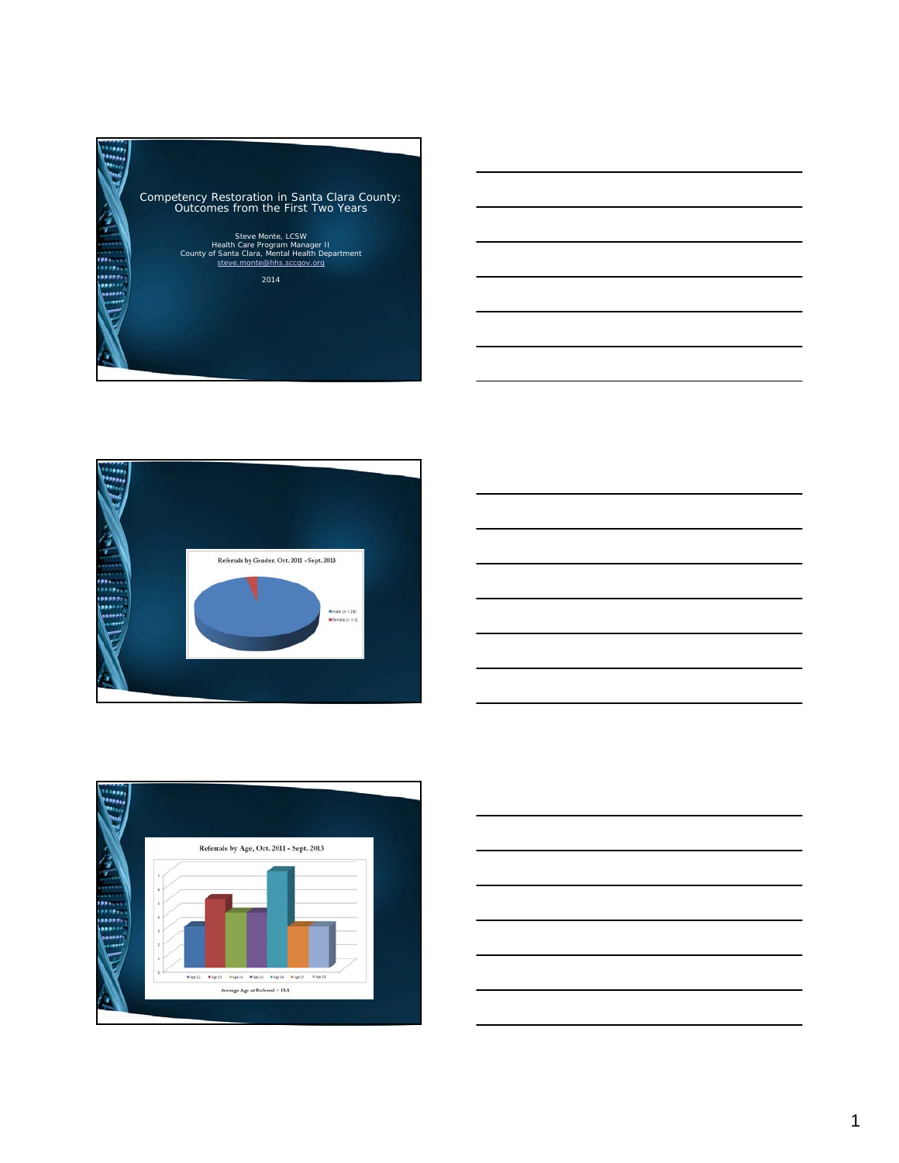





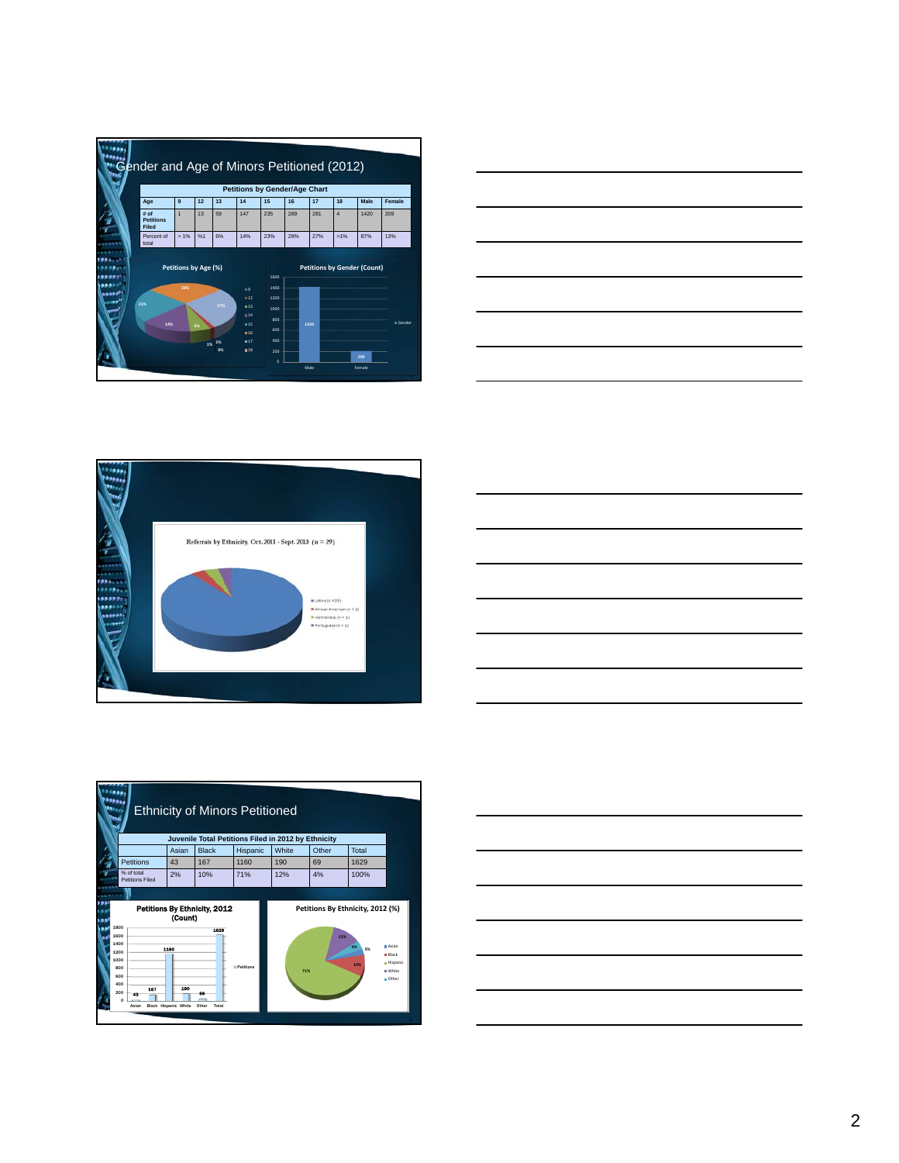|        |                                          | Gender and Age of Minors Petitioned (2012)<br><b>Petitions by Gender/Age Chart</b> |          |                 |                                                     |                                                                          |     |      |                |                                           |                 |  |
|--------|------------------------------------------|------------------------------------------------------------------------------------|----------|-----------------|-----------------------------------------------------|--------------------------------------------------------------------------|-----|------|----------------|-------------------------------------------|-----------------|--|
|        | Age                                      | 9                                                                                  | 12       | 13              | 14                                                  | 15                                                                       | 16  | 17   | 18             | Male                                      | Female          |  |
|        | # of<br><b>Petitions</b><br><b>Filed</b> | $\overline{1}$                                                                     | 13       | 59              | 147                                                 | 235                                                                      | 289 | 281  | $\overline{a}$ | 1420                                      | 209             |  |
|        | Percent of<br>total                      | $>1\%$                                                                             | %1       | 6%              | 14%                                                 | 23%                                                                      | 28% | 27%  | $>1\%$         | 87%                                       | 13%             |  |
| القنفذ | 23%<br>14%                               | Petitions by Age (%)<br>28%                                                        | 6%<br>1% | 27%<br>1%<br>O% | ■9<br>12<br>13<br>14<br>15<br>$\Pi$ 16<br>817<br>18 | 1600<br>1400<br>1200<br>1000<br>800<br>600<br>400<br>200<br>$\mathbf{o}$ |     | 1420 |                | <b>Petitions by Gender (Count)</b><br>209 | <b>B</b> Gender |  |









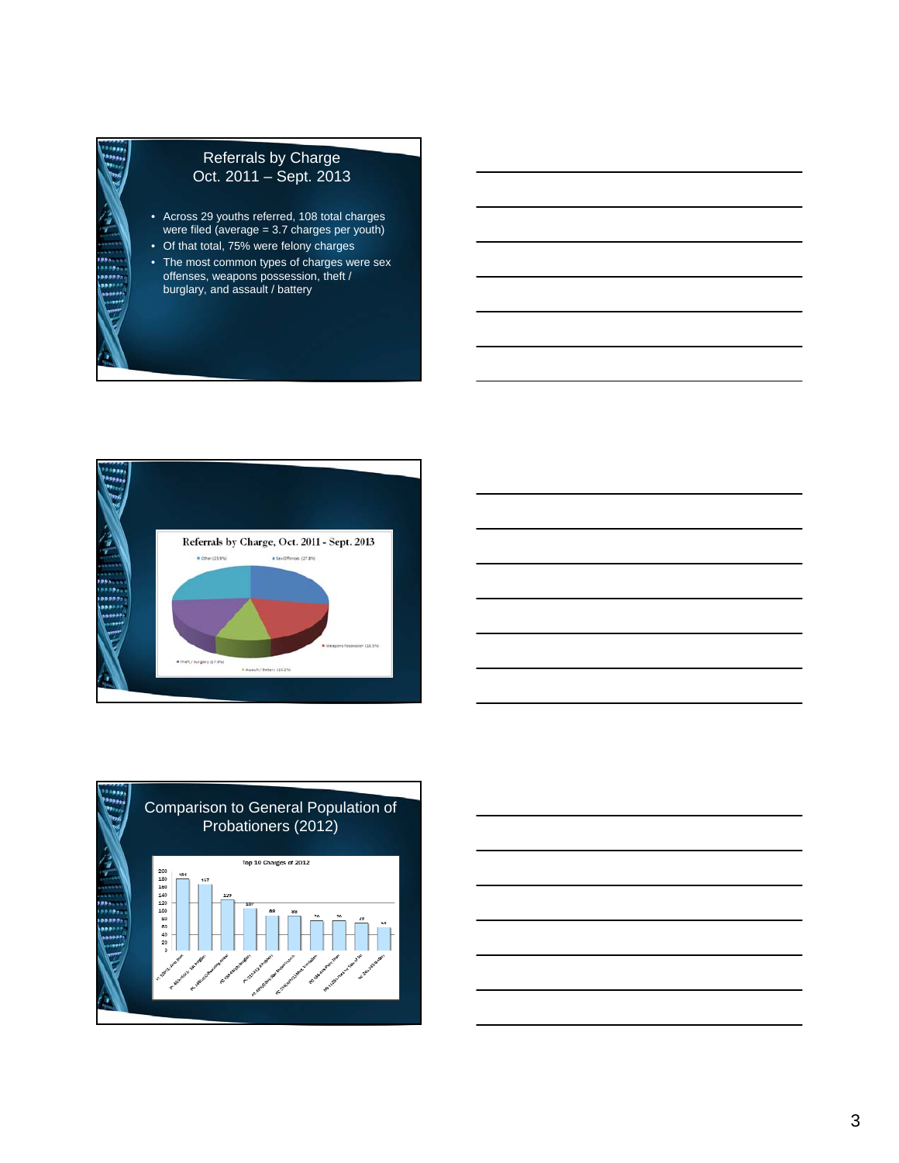# Referrals by Charge Oct. 2011 – Sept. 2013

- Across 29 youths referred, 108 total charges were filed (average = 3.7 charges per youth)
- Of that total, 75% were felony charges
- The most common types of charges were sex offenses, weapons possession, theft / burglary, and assault / battery





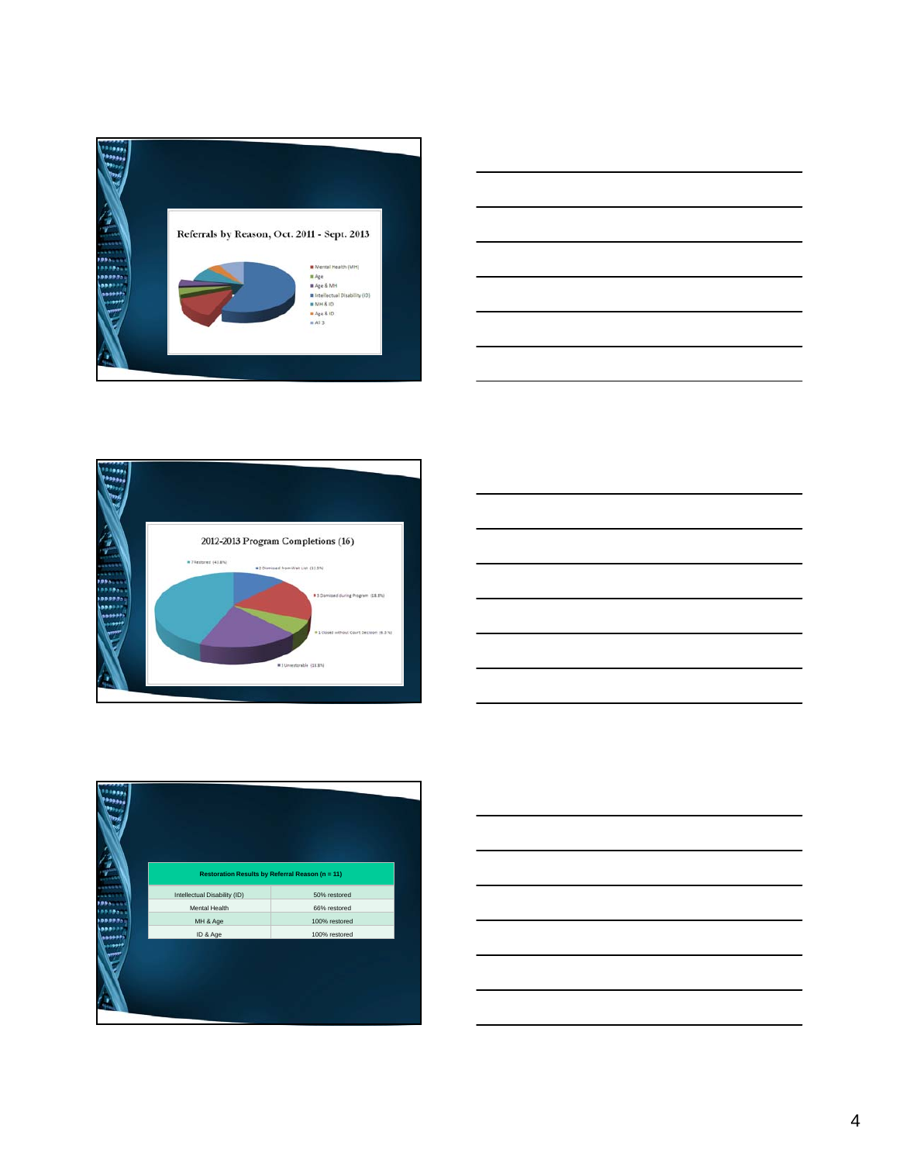









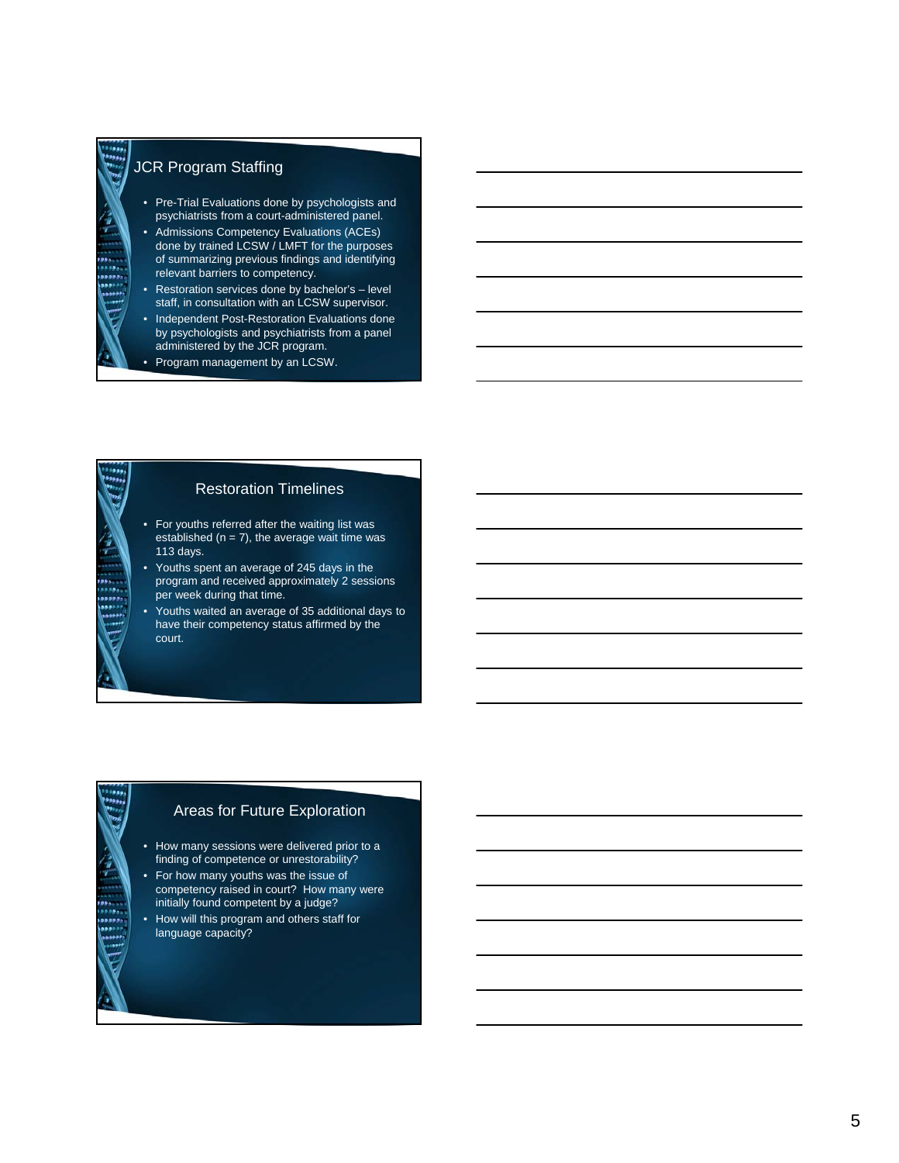#### JCR Program Staffing

- Pre-Trial Evaluations done by psychologists and psychiatrists from a court-administered panel.
- Admissions Competency Evaluations (ACEs) done by trained LCSW / LMFT for the purposes of summarizing previous findings and identifying relevant barriers to competency.
- Restoration services done by bachelor's level staff, in consultation with an LCSW supervisor.
- Independent Post-Restoration Evaluations done by psychologists and psychiatrists from a panel administered by the JCR program.
- Program management by an LCSW.

### Restoration Timelines

- For youths referred after the waiting list was established ( $n = 7$ ), the average wait time was 113 days.
- Youths spent an average of 245 days in the program and received approximately 2 sessions per week during that time.
- Youths waited an average of 35 additional days to have their competency status affirmed by the court.

#### Areas for Future Exploration

- How many sessions were delivered prior to a finding of competence or unrestorability?
- For how many youths was the issue of competency raised in court? How many were initially found competent by a judge?
- How will this program and others staff for language capacity?